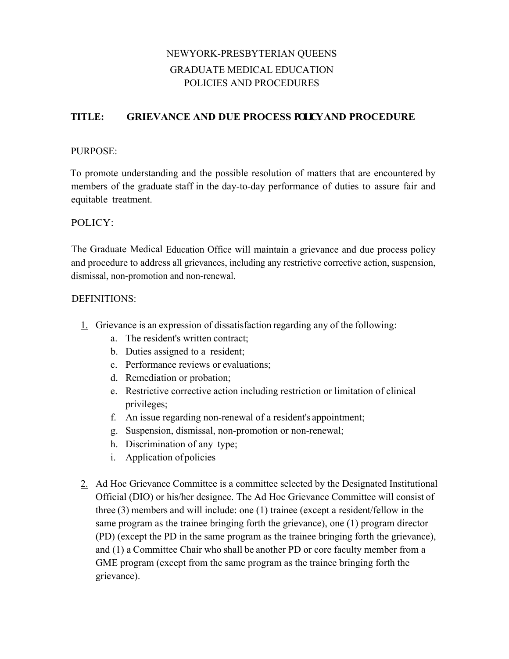# NEWYORK-PRESBYTERIAN QUEENS GRADUATE MEDICAL EDUCATION POLICIES AND PROCEDURES

# **TITLE: GRIEVANCE AND DUE PROCESS POLICYAND PROCEDURE**

## PURPOSE:

To promote understanding and the possible resolution of matters that are encountered by members of the graduate staff in the day-to-day performance of duties to assure fair and equitable treatment.

## POLICY:

The Graduate Medical Education Office will maintain a grievance and due process policy and procedure to address all grievances, including any restrictive corrective action, suspension, dismissal, non-promotion and non-renewal.

#### DEFINITIONS:

- 1. Grievance is an expression of dissatisfaction regarding any of the following:
	- a. The resident's written contract;
	- b. Duties assigned to a resident;
	- c. Performance reviews or evaluations;
	- d. Remediation or probation;
	- e. Restrictive corrective action including restriction or limitation of clinical privileges;
	- f. An issue regarding non-renewal of a resident's appointment;
	- g. Suspension, dismissal, non-promotion or non-renewal;
	- h. Discrimination of any type;
	- i. Application ofpolicies
- 2. Ad Hoc Grievance Committee is a committee selected by the Designated Institutional Official (DIO) or his/her designee. The Ad Hoc Grievance Committee will consist of three (3) members and will include: one (1) trainee (except a resident/fellow in the same program as the trainee bringing forth the grievance), one (1) program director (PD) (except the PD in the same program as the trainee bringing forth the grievance), and (1) a Committee Chair who shall be another PD or core faculty member from a GME program (except from the same program as the trainee bringing forth the grievance).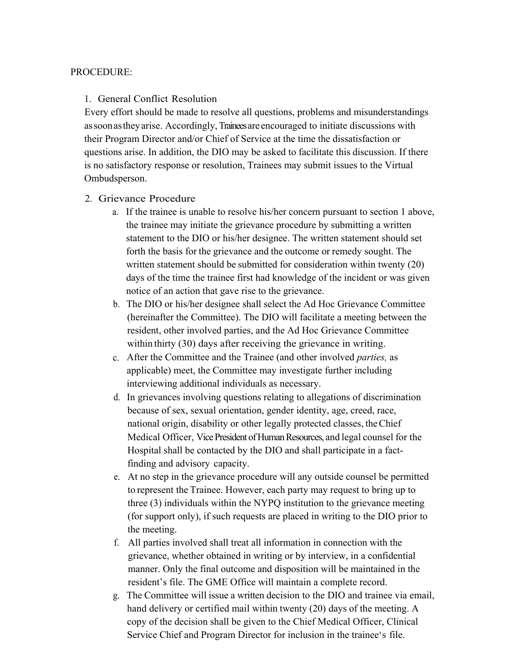#### PROCEDURE:

## 1. General Conflict Resolution

Every effort should be made to resolve all questions, problems and misunderstandings assoonastheyarise. Accordingly, Trainees are encouraged to initiate discussions with their Program Director and/or Chief of Service at the time the dissatisfaction or questions arise. In addition, the DIO may be asked to facilitate this discussion. If there is no satisfactory response or resolution, Trainees may submit issues to the Virtual Ombudsperson.

- 2. Grievance Procedure
	- a. If the trainee is unable to resolve his/her concern pursuant to section 1 above, the trainee may initiate the grievance procedure by submitting a written statement to the DIO or his/her designee. The written statement should set forth the basis for the grievance and the outcome or remedy sought. The written statement should be submitted for consideration within twenty (20) days of the time the trainee first had knowledge of the incident or was given notice of an action that gave rise to the grievance.
	- b. The DIO or his/her designee shall select the Ad Hoc Grievance Committee (hereinafter the Committee). The DIO will facilitate a meeting between the resident, other involved parties, and the Ad Hoc Grievance Committee within thirty (30) days after receiving the grievance in writing.
	- c. After the Committee and the Trainee (and other involved *parties,* as applicable) meet, the Committee may investigate further including interviewing additional individuals as necessary.
	- d. In grievances involving questions relating to allegations of discrimination because of sex, sexual orientation, gender identity, age, creed, race, national origin, disability or other legally protected classes, theChief Medical Officer, Vice President of Human Resources, and legal counsel for the Hospital shall be contacted by the DIO and shall participate in a factfinding and advisory capacity.
	- e. At no step in the grievance procedure will any outside counsel be permitted to represent the Trainee. However, each party may request to bring up to three (3) individuals within the NYPQ institution to the grievance meeting (for support only), if such requests are placed in writing to the DIO prior to the meeting.
	- f. All parties involved shall treat all information in connection with the grievance, whether obtained in writing or by interview, in a confidential manner. Only the final outcome and disposition will be maintained in the resident's file. The GME Office will maintain a complete record.
	- g. The Committee will issue a written decision to the DIO and trainee via email, hand delivery or certified mail within twenty (20) days of the meeting. A copy of the decision shall be given to the Chief Medical Officer, Clinical Service Chief and Program Director for inclusion in the trainee's file.